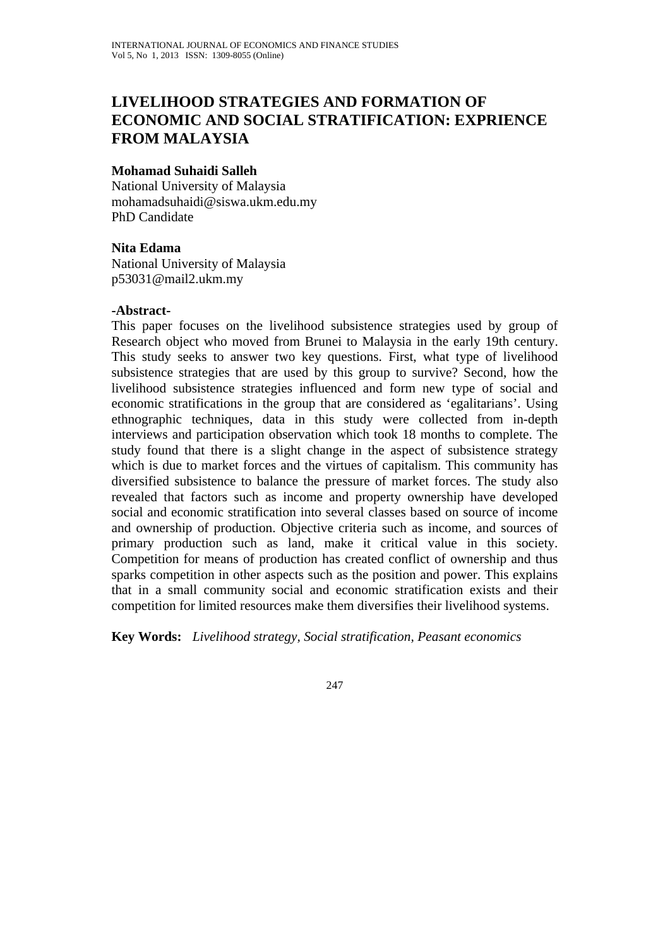# **LIVELIHOOD STRATEGIES AND FORMATION OF ECONOMIC AND SOCIAL STRATIFICATION: EXPRIENCE FROM MALAYSIA**

#### **Mohamad Suhaidi Salleh**

National University of Malaysia mohamadsuhaidi@siswa.ukm.edu.my PhD Candidate

#### **Nita Edama**

National University of Malaysia p53031@mail2.ukm.my

#### **-Abstract-**

This paper focuses on the livelihood subsistence strategies used by group of Research object who moved from Brunei to Malaysia in the early 19th century. This study seeks to answer two key questions. First, what type of livelihood subsistence strategies that are used by this group to survive? Second, how the livelihood subsistence strategies influenced and form new type of social and economic stratifications in the group that are considered as 'egalitarians'. Using ethnographic techniques, data in this study were collected from in-depth interviews and participation observation which took 18 months to complete. The study found that there is a slight change in the aspect of subsistence strategy which is due to market forces and the virtues of capitalism. This community has diversified subsistence to balance the pressure of market forces. The study also revealed that factors such as income and property ownership have developed social and economic stratification into several classes based on source of income and ownership of production. Objective criteria such as income, and sources of primary production such as land, make it critical value in this society. Competition for means of production has created conflict of ownership and thus sparks competition in other aspects such as the position and power. This explains that in a small community social and economic stratification exists and their competition for limited resources make them diversifies their livelihood systems.

**Key Words:** *Livelihood strategy, Social stratification, Peasant economics*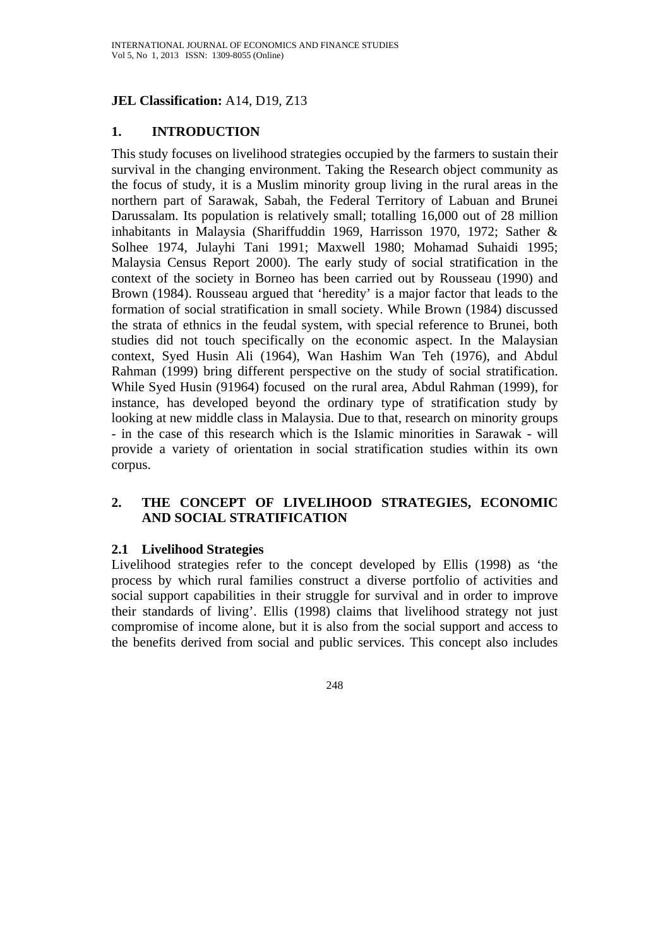# **JEL Classification:** A14, D19, Z13

# **1. INTRODUCTION**

This study focuses on livelihood strategies occupied by the farmers to sustain their survival in the changing environment. Taking the Research object community as the focus of study, it is a Muslim minority group living in the rural areas in the northern part of Sarawak, Sabah, the Federal Territory of Labuan and Brunei Darussalam. Its population is relatively small; totalling 16,000 out of 28 million inhabitants in Malaysia (Shariffuddin 1969, Harrisson 1970, 1972; Sather & Solhee 1974, Julayhi Tani 1991; Maxwell 1980; Mohamad Suhaidi 1995; Malaysia Census Report 2000). The early study of social stratification in the context of the society in Borneo has been carried out by Rousseau (1990) and Brown (1984). Rousseau argued that 'heredity' is a major factor that leads to the formation of social stratification in small society. While Brown (1984) discussed the strata of ethnics in the feudal system, with special reference to Brunei, both studies did not touch specifically on the economic aspect. In the Malaysian context, Syed Husin Ali (1964), Wan Hashim Wan Teh (1976), and Abdul Rahman (1999) bring different perspective on the study of social stratification. While Syed Husin (91964) focused on the rural area, Abdul Rahman (1999), for instance, has developed beyond the ordinary type of stratification study by looking at new middle class in Malaysia. Due to that, research on minority groups - in the case of this research which is the Islamic minorities in Sarawak - will provide a variety of orientation in social stratification studies within its own corpus.

# **2. THE CONCEPT OF LIVELIHOOD STRATEGIES, ECONOMIC AND SOCIAL STRATIFICATION**

#### **2.1 Livelihood Strategies**

Livelihood strategies refer to the concept developed by Ellis (1998) as 'the process by which rural families construct a diverse portfolio of activities and social support capabilities in their struggle for survival and in order to improve their standards of living'. Ellis (1998) claims that livelihood strategy not just compromise of income alone, but it is also from the social support and access to the benefits derived from social and public services. This concept also includes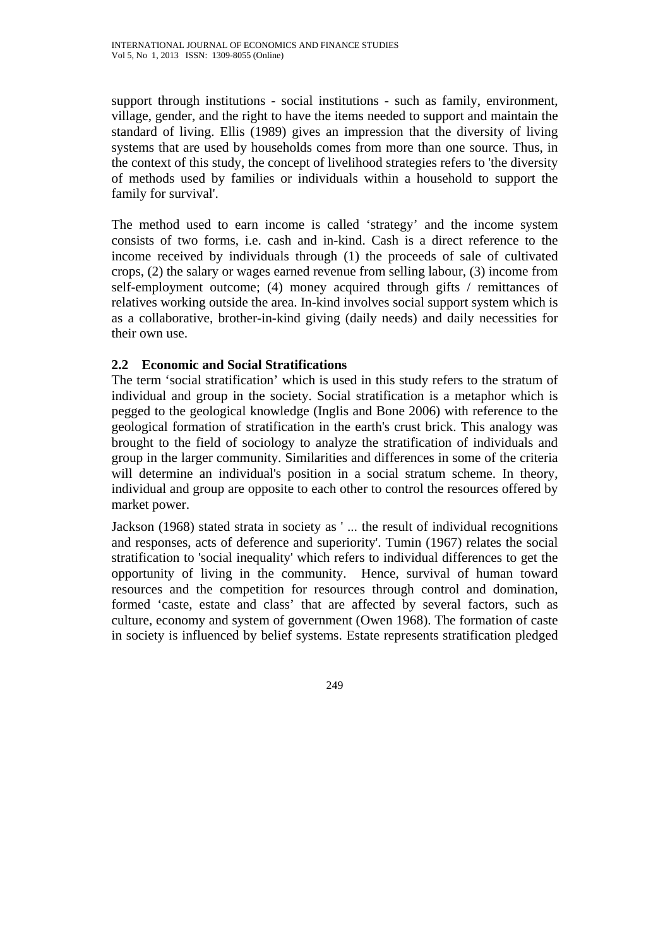support through institutions - social institutions - such as family, environment, village, gender, and the right to have the items needed to support and maintain the standard of living. Ellis (1989) gives an impression that the diversity of living systems that are used by households comes from more than one source. Thus, in the context of this study, the concept of livelihood strategies refers to 'the diversity of methods used by families or individuals within a household to support the family for survival'.

The method used to earn income is called 'strategy' and the income system consists of two forms, i.e. cash and in-kind. Cash is a direct reference to the income received by individuals through (1) the proceeds of sale of cultivated crops, (2) the salary or wages earned revenue from selling labour, (3) income from self-employment outcome; (4) money acquired through gifts / remittances of relatives working outside the area. In-kind involves social support system which is as a collaborative, brother-in-kind giving (daily needs) and daily necessities for their own use.

# **2.2 Economic and Social Stratifications**

The term 'social stratification' which is used in this study refers to the stratum of individual and group in the society. Social stratification is a metaphor which is pegged to the geological knowledge (Inglis and Bone 2006) with reference to the geological formation of stratification in the earth's crust brick. This analogy was brought to the field of sociology to analyze the stratification of individuals and group in the larger community. Similarities and differences in some of the criteria will determine an individual's position in a social stratum scheme. In theory, individual and group are opposite to each other to control the resources offered by market power.

Jackson (1968) stated strata in society as ' ... the result of individual recognitions and responses, acts of deference and superiority'. Tumin (1967) relates the social stratification to 'social inequality' which refers to individual differences to get the opportunity of living in the community. Hence, survival of human toward resources and the competition for resources through control and domination, formed 'caste, estate and class' that are affected by several factors, such as culture, economy and system of government (Owen 1968). The formation of caste in society is influenced by belief systems. Estate represents stratification pledged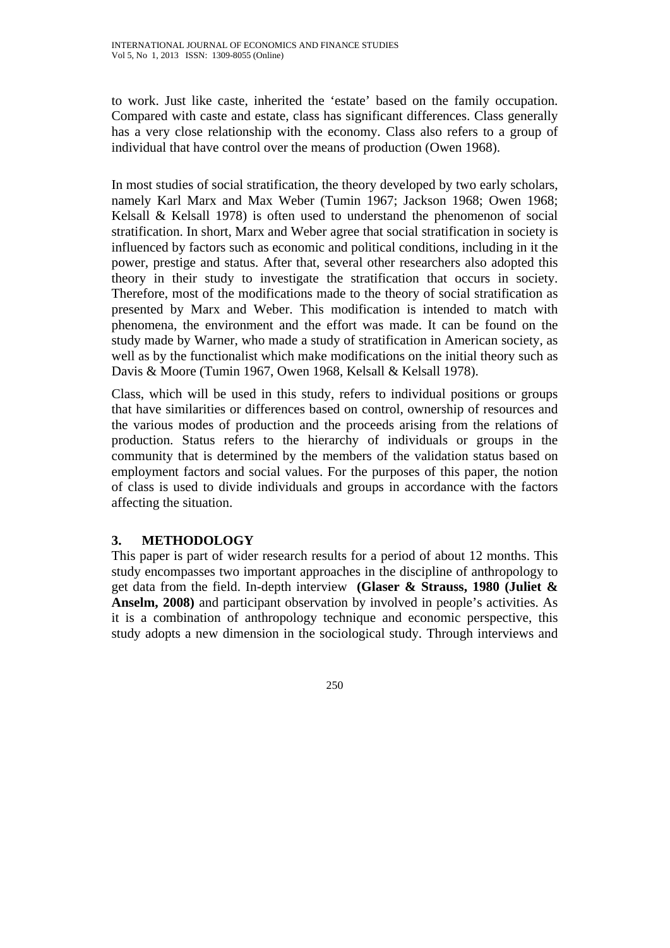to work. Just like caste, inherited the 'estate' based on the family occupation. Compared with caste and estate, class has significant differences. Class generally has a very close relationship with the economy. Class also refers to a group of individual that have control over the means of production (Owen 1968).

In most studies of social stratification, the theory developed by two early scholars, namely Karl Marx and Max Weber (Tumin 1967; Jackson 1968; Owen 1968; Kelsall & Kelsall 1978) is often used to understand the phenomenon of social stratification. In short, Marx and Weber agree that social stratification in society is influenced by factors such as economic and political conditions, including in it the power, prestige and status. After that, several other researchers also adopted this theory in their study to investigate the stratification that occurs in society. Therefore, most of the modifications made to the theory of social stratification as presented by Marx and Weber. This modification is intended to match with phenomena, the environment and the effort was made. It can be found on the study made by Warner, who made a study of stratification in American society, as well as by the functionalist which make modifications on the initial theory such as Davis & Moore (Tumin 1967, Owen 1968, Kelsall & Kelsall 1978).

Class, which will be used in this study, refers to individual positions or groups that have similarities or differences based on control, ownership of resources and the various modes of production and the proceeds arising from the relations of production. Status refers to the hierarchy of individuals or groups in the community that is determined by the members of the validation status based on employment factors and social values. For the purposes of this paper, the notion of class is used to divide individuals and groups in accordance with the factors affecting the situation.

# **3. METHODOLOGY**

This paper is part of wider research results for a period of about 12 months. This study encompasses two important approaches in the discipline of anthropology to get data from the field. In-depth interview **(Glaser & Strauss, 1980 (Juliet & Anselm, 2008)** and participant observation by involved in people's activities. As it is a combination of anthropology technique and economic perspective, this study adopts a new dimension in the sociological study. Through interviews and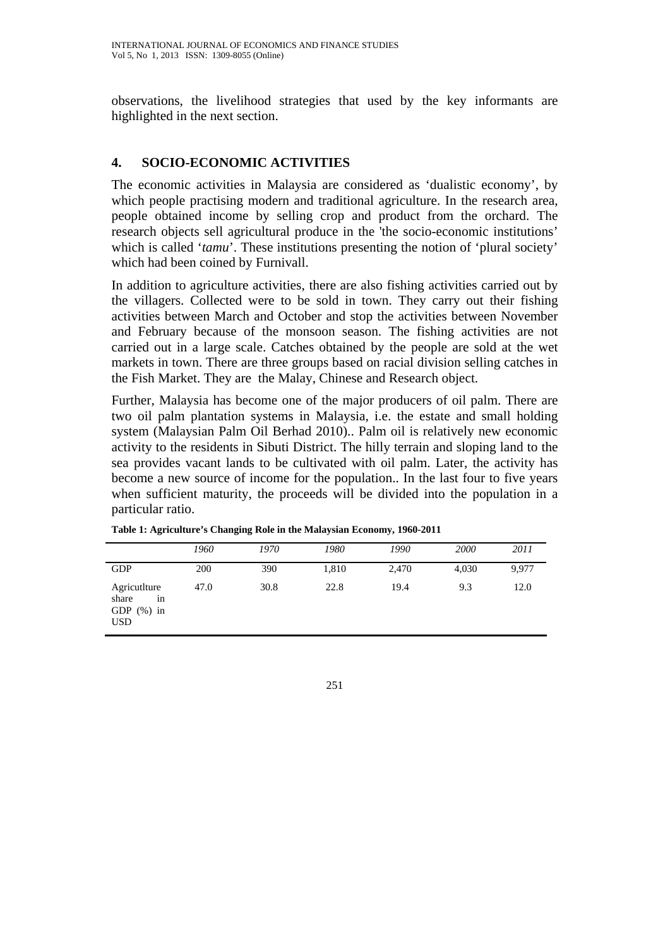observations, the livelihood strategies that used by the key informants are highlighted in the next section.

# **4. SOCIO-ECONOMIC ACTIVITIES**

The economic activities in Malaysia are considered as 'dualistic economy', by which people practising modern and traditional agriculture. In the research area, people obtained income by selling crop and product from the orchard. The research objects sell agricultural produce in the 'the socio-economic institutions' which is called '*tamu*'. These institutions presenting the notion of 'plural society' which had been coined by Furnivall.

In addition to agriculture activities, there are also fishing activities carried out by the villagers. Collected were to be sold in town. They carry out their fishing activities between March and October and stop the activities between November and February because of the monsoon season. The fishing activities are not carried out in a large scale. Catches obtained by the people are sold at the wet markets in town. There are three groups based on racial division selling catches in the Fish Market. They are the Malay, Chinese and Research object.

Further, Malaysia has become one of the major producers of oil palm. There are two oil palm plantation systems in Malaysia, i.e. the estate and small holding system (Malaysian Palm Oil Berhad 2010).. Palm oil is relatively new economic activity to the residents in Sibuti District. The hilly terrain and sloping land to the sea provides vacant lands to be cultivated with oil palm. Later, the activity has become a new source of income for the population.. In the last four to five years when sufficient maturity, the proceeds will be divided into the population in a particular ratio.

|                                                            | 1960 | 1970 | 1980  | 1990  | 2000  | 2011  |
|------------------------------------------------------------|------|------|-------|-------|-------|-------|
| <b>GDP</b>                                                 | 200  | 390  | 1,810 | 2,470 | 4,030 | 9,977 |
| AgricutIture<br>share<br>1n<br>GDP $(\%)$ in<br><b>USD</b> | 47.0 | 30.8 | 22.8  | 19.4  | 9.3   | 12.0  |

**Table 1: Agriculture's Changing Role in the Malaysian Economy, 1960-2011**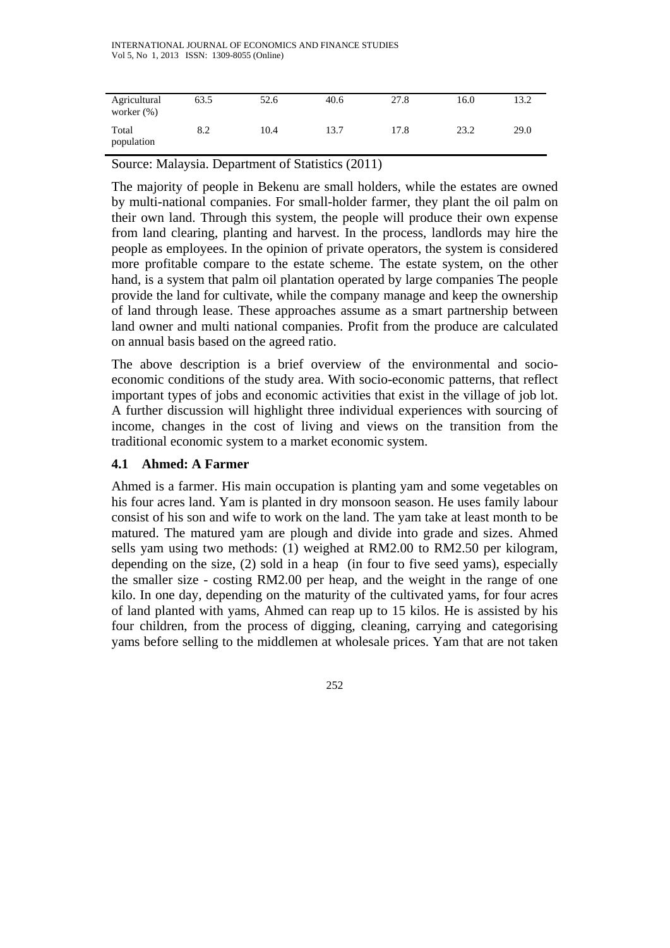| Agricultural<br>worker $(\%)$ | 63.5 | 52.6 | 40.6 | 27.8 | 16.0 | 13.2 |
|-------------------------------|------|------|------|------|------|------|
| Total<br>population           | 8.2  | 10.4 | 13.7 | 17.8 | 23.2 | 29.0 |

Source: Malaysia. Department of Statistics (2011)

The majority of people in Bekenu are small holders, while the estates are owned by multi-national companies. For small-holder farmer, they plant the oil palm on their own land. Through this system, the people will produce their own expense from land clearing, planting and harvest. In the process, landlords may hire the people as employees. In the opinion of private operators, the system is considered more profitable compare to the estate scheme. The estate system, on the other hand, is a system that palm oil plantation operated by large companies The people provide the land for cultivate, while the company manage and keep the ownership of land through lease. These approaches assume as a smart partnership between land owner and multi national companies. Profit from the produce are calculated on annual basis based on the agreed ratio.

The above description is a brief overview of the environmental and socioeconomic conditions of the study area. With socio-economic patterns, that reflect important types of jobs and economic activities that exist in the village of job lot. A further discussion will highlight three individual experiences with sourcing of income, changes in the cost of living and views on the transition from the traditional economic system to a market economic system.

# **4.1 Ahmed: A Farmer**

Ahmed is a farmer. His main occupation is planting yam and some vegetables on his four acres land. Yam is planted in dry monsoon season. He uses family labour consist of his son and wife to work on the land. The yam take at least month to be matured. The matured yam are plough and divide into grade and sizes. Ahmed sells yam using two methods: (1) weighed at RM2.00 to RM2.50 per kilogram, depending on the size, (2) sold in a heap (in four to five seed yams), especially the smaller size - costing RM2.00 per heap, and the weight in the range of one kilo. In one day, depending on the maturity of the cultivated yams, for four acres of land planted with yams, Ahmed can reap up to 15 kilos. He is assisted by his four children, from the process of digging, cleaning, carrying and categorising yams before selling to the middlemen at wholesale prices. Yam that are not taken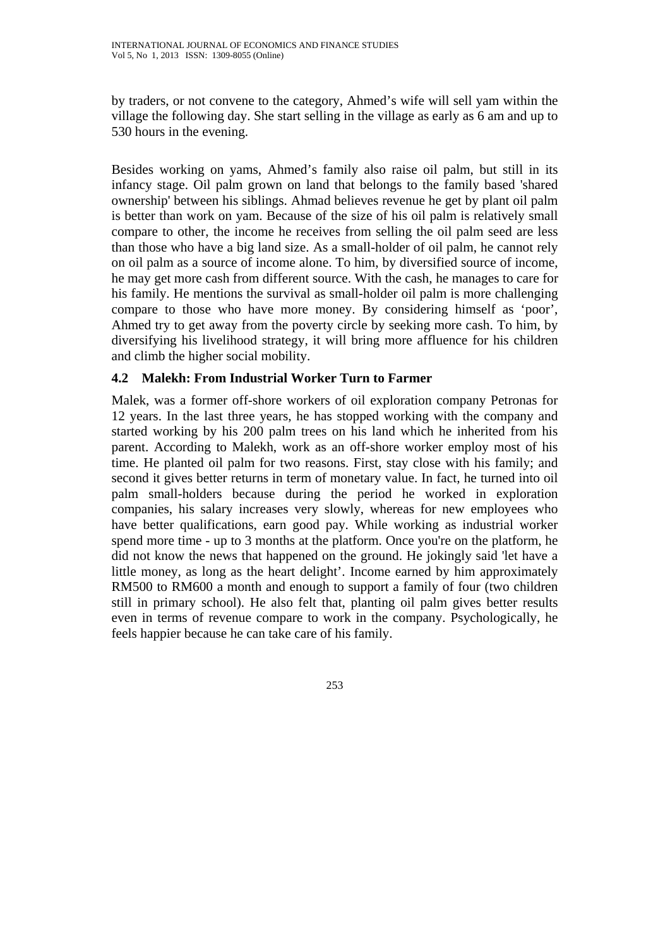by traders, or not convene to the category, Ahmed's wife will sell yam within the village the following day. She start selling in the village as early as 6 am and up to 530 hours in the evening.

Besides working on yams, Ahmed's family also raise oil palm, but still in its infancy stage. Oil palm grown on land that belongs to the family based 'shared ownership' between his siblings. Ahmad believes revenue he get by plant oil palm is better than work on yam. Because of the size of his oil palm is relatively small compare to other, the income he receives from selling the oil palm seed are less than those who have a big land size. As a small-holder of oil palm, he cannot rely on oil palm as a source of income alone. To him, by diversified source of income, he may get more cash from different source. With the cash, he manages to care for his family. He mentions the survival as small-holder oil palm is more challenging compare to those who have more money. By considering himself as 'poor', Ahmed try to get away from the poverty circle by seeking more cash. To him, by diversifying his livelihood strategy, it will bring more affluence for his children and climb the higher social mobility.

# **4.2 Malekh: From Industrial Worker Turn to Farmer**

Malek, was a former off-shore workers of oil exploration company Petronas for 12 years. In the last three years, he has stopped working with the company and started working by his 200 palm trees on his land which he inherited from his parent. According to Malekh, work as an off-shore worker employ most of his time. He planted oil palm for two reasons. First, stay close with his family; and second it gives better returns in term of monetary value. In fact, he turned into oil palm small-holders because during the period he worked in exploration companies, his salary increases very slowly, whereas for new employees who have better qualifications, earn good pay. While working as industrial worker spend more time - up to 3 months at the platform. Once you're on the platform, he did not know the news that happened on the ground. He jokingly said 'let have a little money, as long as the heart delight'. Income earned by him approximately RM500 to RM600 a month and enough to support a family of four (two children still in primary school). He also felt that, planting oil palm gives better results even in terms of revenue compare to work in the company. Psychologically, he feels happier because he can take care of his family.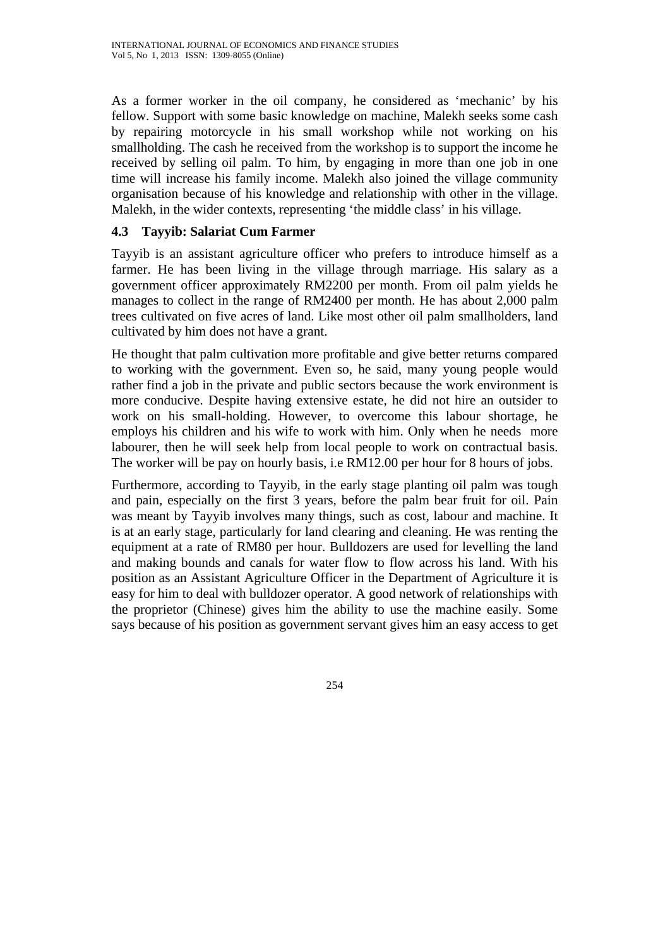As a former worker in the oil company, he considered as 'mechanic' by his fellow. Support with some basic knowledge on machine, Malekh seeks some cash by repairing motorcycle in his small workshop while not working on his smallholding. The cash he received from the workshop is to support the income he received by selling oil palm. To him, by engaging in more than one job in one time will increase his family income. Malekh also joined the village community organisation because of his knowledge and relationship with other in the village. Malekh, in the wider contexts, representing 'the middle class' in his village.

# **4.3 Tayyib: Salariat Cum Farmer**

Tayyib is an assistant agriculture officer who prefers to introduce himself as a farmer. He has been living in the village through marriage. His salary as a government officer approximately RM2200 per month. From oil palm yields he manages to collect in the range of RM2400 per month. He has about 2,000 palm trees cultivated on five acres of land. Like most other oil palm smallholders, land cultivated by him does not have a grant.

He thought that palm cultivation more profitable and give better returns compared to working with the government. Even so, he said, many young people would rather find a job in the private and public sectors because the work environment is more conducive. Despite having extensive estate, he did not hire an outsider to work on his small-holding. However, to overcome this labour shortage, he employs his children and his wife to work with him. Only when he needs more labourer, then he will seek help from local people to work on contractual basis. The worker will be pay on hourly basis, i.e RM12.00 per hour for 8 hours of jobs.

Furthermore, according to Tayyib, in the early stage planting oil palm was tough and pain, especially on the first 3 years, before the palm bear fruit for oil. Pain was meant by Tayyib involves many things, such as cost, labour and machine. It is at an early stage, particularly for land clearing and cleaning. He was renting the equipment at a rate of RM80 per hour. Bulldozers are used for levelling the land and making bounds and canals for water flow to flow across his land. With his position as an Assistant Agriculture Officer in the Department of Agriculture it is easy for him to deal with bulldozer operator. A good network of relationships with the proprietor (Chinese) gives him the ability to use the machine easily. Some says because of his position as government servant gives him an easy access to get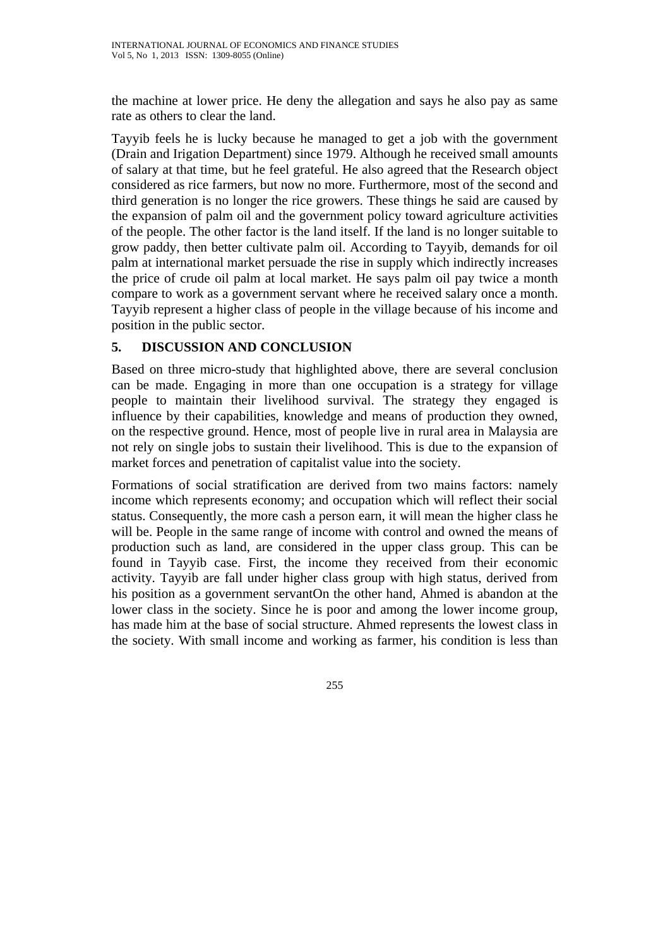the machine at lower price. He deny the allegation and says he also pay as same rate as others to clear the land.

Tayyib feels he is lucky because he managed to get a job with the government (Drain and Irigation Department) since 1979. Although he received small amounts of salary at that time, but he feel grateful. He also agreed that the Research object considered as rice farmers, but now no more. Furthermore, most of the second and third generation is no longer the rice growers. These things he said are caused by the expansion of palm oil and the government policy toward agriculture activities of the people. The other factor is the land itself. If the land is no longer suitable to grow paddy, then better cultivate palm oil. According to Tayyib, demands for oil palm at international market persuade the rise in supply which indirectly increases the price of crude oil palm at local market. He says palm oil pay twice a month compare to work as a government servant where he received salary once a month. Tayyib represent a higher class of people in the village because of his income and position in the public sector.

# **5. DISCUSSION AND CONCLUSION**

Based on three micro-study that highlighted above, there are several conclusion can be made. Engaging in more than one occupation is a strategy for village people to maintain their livelihood survival. The strategy they engaged is influence by their capabilities, knowledge and means of production they owned, on the respective ground. Hence, most of people live in rural area in Malaysia are not rely on single jobs to sustain their livelihood. This is due to the expansion of market forces and penetration of capitalist value into the society.

Formations of social stratification are derived from two mains factors: namely income which represents economy; and occupation which will reflect their social status. Consequently, the more cash a person earn, it will mean the higher class he will be. People in the same range of income with control and owned the means of production such as land, are considered in the upper class group. This can be found in Tayyib case. First, the income they received from their economic activity. Tayyib are fall under higher class group with high status, derived from his position as a government servantOn the other hand, Ahmed is abandon at the lower class in the society. Since he is poor and among the lower income group, has made him at the base of social structure. Ahmed represents the lowest class in the society. With small income and working as farmer, his condition is less than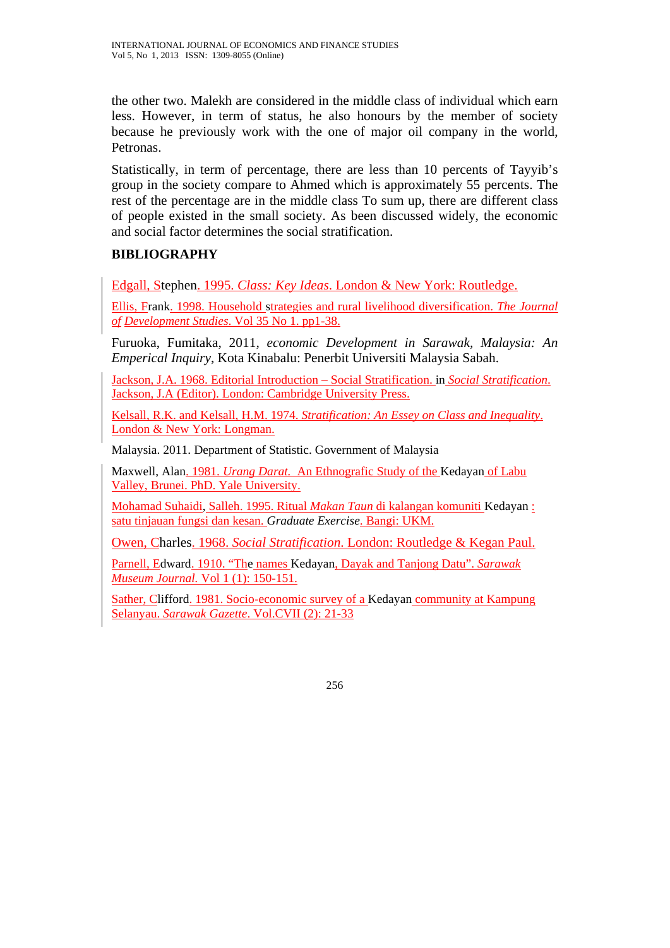the other two. Malekh are considered in the middle class of individual which earn less. However, in term of status, he also honours by the member of society because he previously work with the one of major oil company in the world, Petronas.

Statistically, in term of percentage, there are less than 10 percents of Tayyib's group in the society compare to Ahmed which is approximately 55 percents. The rest of the percentage are in the middle class To sum up, there are different class of people existed in the small society. As been discussed widely, the economic and social factor determines the social stratification.

# **BIBLIOGRAPHY**

Edgall, Stephen. 1995. *Class: Key Ideas*. London & New York: Routledge.

Ellis, Frank. 1998. Household strategies and rural livelihood diversification. *The Journal of Development Studies*. Vol 35 No 1. pp1-38.

Furuoka, Fumitaka, 2011, *economic Development in Sarawak, Malaysia: An Emperical Inquiry*, Kota Kinabalu: Penerbit Universiti Malaysia Sabah.

Jackson, J.A. 1968. Editorial Introduction – Social Stratification. in *Social Stratification*. Jackson, J.A (Editor). London: Cambridge University Press.

Kelsall, R.K. and Kelsall, H.M. 1974. *Stratification: An Essey on Class and Inequality*. London & New York: Longman.

Malaysia. 2011. Department of Statistic. Government of Malaysia

Maxwell, Alan. 1981. *Urang Darat.* An Ethnografic Study of the Kedayan of Labu Valley, Brunei. PhD. Yale University.

Mohamad Suhaidi, Salleh. 1995. Ritual *Makan Taun* di kalangan komuniti Kedayan : satu tinjauan fungsi dan kesan. *Graduate Exercise*. Bangi: UKM.

Owen, Charles. 1968. *Social Stratification*. London: Routledge & Kegan Paul.

Parnell, Edward. 1910. "The names Kedayan, Dayak and Tanjong Datu". *Sarawak Museum Journal.* Vol 1 (1): 150-151.

Sather, Clifford. 1981. Socio-economic survey of a Kedayan community at Kampung Selanyau. *Sarawak Gazette*. Vol.CVII (2): 21-33